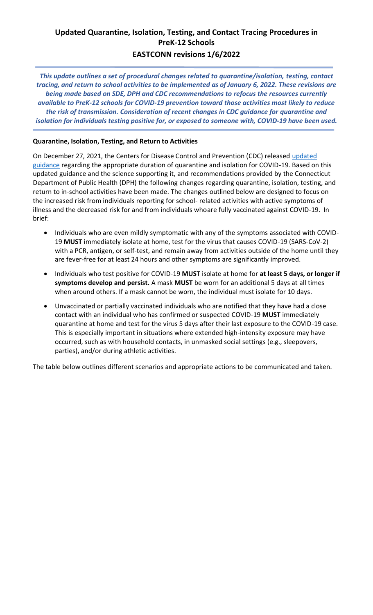## **Updated Quarantine, Isolation, Testing, and Contact Tracing Procedures in PreK-12 Schools EASTCONN revisions 1/6/2022**

*This update outlines a set of procedural changes related to quarantine/isolation, testing, contact tracing, and return to school activities to be implemented as of January 6, 2022. These revisions are being made based on SDE, DPH and CDC recommendations to refocus the resources currently available to PreK-12 schools for COVID-19 prevention toward those activities most likely to reduce the risk of transmission. Consideration of recent changes in CDC guidance for quarantine and isolation for individuals testing positive for, or exposed to someone with, COVID-19 have been used.*

## **Quarantine, Isolation, Testing, and Return to Activities**

On December 27, 2021, the Centers for Disease Control and Prevention (CDC) released [updated](https://www.cdc.gov/media/releases/2021/s1227-isolation-quarantine-guidance.html) [guidance](https://www.cdc.gov/media/releases/2021/s1227-isolation-quarantine-guidance.html) regarding the appropriate duration of quarantine and isolation for COVID-19. Based on this updated guidance and the science supporting it, and recommendations provided by the Connecticut Department of Public Health (DPH) the following changes regarding quarantine, isolation, testing, and return to in-school activities have been made. The changes outlined below are designed to focus on the increased risk from individuals reporting for school- related activities with active symptoms of illness and the decreased risk for and from individuals whoare fully vaccinated against COVID-19. In brief:

- Individuals who are even mildly symptomatic with any of the symptoms associated with COVID-19 **MUST** immediately isolate at home, test for the virus that causes COVID-19 (SARS-CoV-2) with a PCR, antigen, or self-test, and remain away from activities outside of the home until they are fever-free for at least 24 hours and other symptoms are significantly improved.
- Individuals who test positive for COVID-19 **MUST** isolate at home for **at least 5 days, or longer if symptoms develop and persist.** A mask **MUST** be worn for an additional 5 days at all times when around others. If a mask cannot be worn, the individual must isolate for 10 days.
- Unvaccinated or partially vaccinated individuals who are notified that they have had a close contact with an individual who has confirmed or suspected COVID-19 **MUST** immediately quarantine at home and test for the virus 5 days after their last exposure to the COVID-19 case. This is especially important in situations where extended high-intensity exposure may have occurred, such as with household contacts, in unmasked social settings (e.g., sleepovers, parties), and/or during athletic activities.

The table below outlines different scenarios and appropriate actions to be communicated and taken.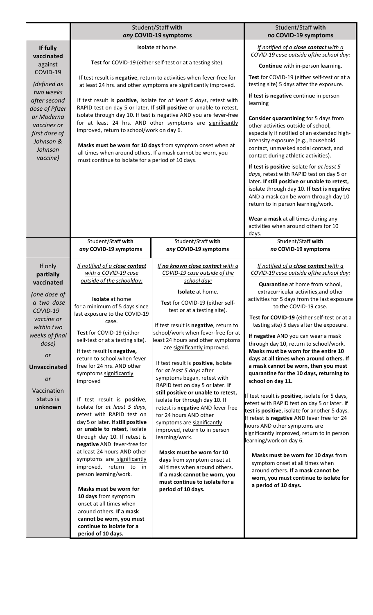|                                                                                                                                                                                                               | Student/Staff with<br>any COVID-19 symptoms                                                                                                                                                                                                                                                                                                                                                                                                                                                                                                                                                                                                                                                                                                                                                                                                                                                                                         |                                                                                                                                                                                                                                                                                                                                                                                                                                                                                                                                                                                                                                                                                                                                                                                                                                                                                      | Student/Staff with<br>no COVID-19 symptoms                                                                                                                                                                                                                                                                                                                                                                                                                                                                                                                                                                                                                                                                                                                                                                                                                                                                                                                                                                                                                                                                     |
|---------------------------------------------------------------------------------------------------------------------------------------------------------------------------------------------------------------|-------------------------------------------------------------------------------------------------------------------------------------------------------------------------------------------------------------------------------------------------------------------------------------------------------------------------------------------------------------------------------------------------------------------------------------------------------------------------------------------------------------------------------------------------------------------------------------------------------------------------------------------------------------------------------------------------------------------------------------------------------------------------------------------------------------------------------------------------------------------------------------------------------------------------------------|--------------------------------------------------------------------------------------------------------------------------------------------------------------------------------------------------------------------------------------------------------------------------------------------------------------------------------------------------------------------------------------------------------------------------------------------------------------------------------------------------------------------------------------------------------------------------------------------------------------------------------------------------------------------------------------------------------------------------------------------------------------------------------------------------------------------------------------------------------------------------------------|----------------------------------------------------------------------------------------------------------------------------------------------------------------------------------------------------------------------------------------------------------------------------------------------------------------------------------------------------------------------------------------------------------------------------------------------------------------------------------------------------------------------------------------------------------------------------------------------------------------------------------------------------------------------------------------------------------------------------------------------------------------------------------------------------------------------------------------------------------------------------------------------------------------------------------------------------------------------------------------------------------------------------------------------------------------------------------------------------------------|
| If fully<br>vaccinated<br>against<br>COVID-19<br>(defined as<br>two weeks<br>after second<br>dose of Pfizer<br>or Moderna<br>vaccines or<br>first dose of<br>Johnson &<br>Johnson<br>vaccine)                 | Isolate at home.<br>Test for COVID-19 (either self-test or at a testing site).<br>If test result is negative, return to activities when fever-free for<br>at least 24 hrs. and other symptoms are significantly improved.<br>If test result is positive, isolate for at least 5 days, retest with<br>RAPID test on day 5 or later. If still positive or unable to retest,<br>isolate through day 10. If test is negative AND you are fever-free<br>for at least 24 hrs. AND other symptoms are significantly<br>improved, return to school/work on day 6.<br>Masks must be worn for 10 days from symptom onset when at<br>all times when around others. If a mask cannot be worn, you<br>must continue to isolate for a period of 10 days.                                                                                                                                                                                          |                                                                                                                                                                                                                                                                                                                                                                                                                                                                                                                                                                                                                                                                                                                                                                                                                                                                                      | If notified of a close contact with a<br>COVID-19 case outside ofthe school day:<br>Continue with in-person learning.<br>Test for COVID-19 (either self-test or at a<br>testing site) 5 days after the exposure.<br>If test is negative continue in person<br>learning<br>Consider quarantining for 5 days from<br>other activities outside of school,<br>especially if notified of an extended high-<br>intensity exposure (e.g., household<br>contact, unmasked social contact, and<br>contact during athletic activities).<br>If test is positive isolate for at least 5<br>days, retest with RAPID test on day 5 or<br>later. If still positive or unable to retest,<br>isolate through day 10. If test is negative<br>AND a mask can be worn through day 10<br>return to in person learning/work.<br>Wear a mask at all times during any<br>activities when around others for 10<br>days.                                                                                                                                                                                                                 |
|                                                                                                                                                                                                               | Student/Staff with<br>any COVID-19 symptoms                                                                                                                                                                                                                                                                                                                                                                                                                                                                                                                                                                                                                                                                                                                                                                                                                                                                                         | Student/Staff with<br>any COVID-19 symptoms                                                                                                                                                                                                                                                                                                                                                                                                                                                                                                                                                                                                                                                                                                                                                                                                                                          | Student/Staff with<br>no COVID-19 symptoms                                                                                                                                                                                                                                                                                                                                                                                                                                                                                                                                                                                                                                                                                                                                                                                                                                                                                                                                                                                                                                                                     |
| If only<br>partially<br>vaccinated<br>(one dose of<br>a two dose<br>COVID-19<br>vaccine or<br>within two<br>weeks of final<br>dose)<br>or<br><b>Unvaccinated</b><br>or<br>Vaccination<br>status is<br>unknown | If notified of a close contact<br>with a COVID-19 case<br>outside of the schoolday:<br><b>Isolate</b> at home<br>for a minimum of 5 days since<br>last exposure to the COVID-19<br>case.<br>Test for COVID-19 (either<br>self-test or at a testing site).<br>If test result is negative,<br>return to school.when fever<br>free for 24 hrs. AND other<br>symptoms significantly<br>improved<br>If test result is positive,<br>isolate for at least 5 days,<br>retest with RAPID test on<br>day 5 or later. If still positive<br>or unable to retest, isolate<br>through day 10. If retest is<br>negative AND fever-free for<br>at least 24 hours AND other<br>symptoms are significantly<br>improved, return to in<br>person learning/work.<br>Masks must be worn for<br>10 days from symptom<br>onset at all times when<br>around others. If a mask<br>cannot be worn, you must<br>continue to isolate for a<br>period of 10 days. | If no known close contact with a<br>COVID-19 case outside of the<br>school day:<br><b>Isolate</b> at home.<br>Test for COVID-19 (either self-<br>test or at a testing site).<br>If test result is negative, return to<br>school/work when fever-free for at<br>least 24 hours and other symptoms<br>are significantly improved.<br>If test result is positive, isolate<br>for at least 5 days after<br>symptoms began, retest with<br>RAPID test on day 5 or later. If<br>still positive or unable to retest,<br>isolate for through day 10. If<br>retest is negative AND fever free<br>for 24 hours AND other<br>symptoms are significantly<br>improved, return to in person<br>learning/work.<br>Masks must be worn for 10<br>days from symptom onset at<br>all times when around others.<br>If a mask cannot be worn, you<br>must continue to isolate for a<br>period of 10 days. | If notified of a close contact with a<br>COVID-19 case outside of the school day:<br>Quarantine at home from school,<br>extracurricular activities, and other<br>activities for 5 days from the last exposure<br>to the COVID-19 case.<br>Test for COVID-19 (either self-test or at a<br>testing site) 5 days after the exposure.<br>If negative AND you can wear a mask<br>through day 10, return to school/work.<br>Masks must be worn for the entire 10<br>days at all times when around others. If<br>a mask cannot be worn, then you must<br>quarantine for the 10 days, returning to<br>school on day 11.<br>If test result is positive, isolate for 5 days,<br>retest with RAPID test on day 5 or later. If<br>test is positive, isolate for another 5 days.<br>If retest is negative AND fever free for 24<br>hours AND other symptoms are<br>significantly improved, return to in person<br>learning/work on day 6.<br>Masks must be worn for 10 days from<br>symptom onset at all times when<br>around others. If a mask cannot be<br>worn, you must continue to isolate for<br>a period of 10 days. |